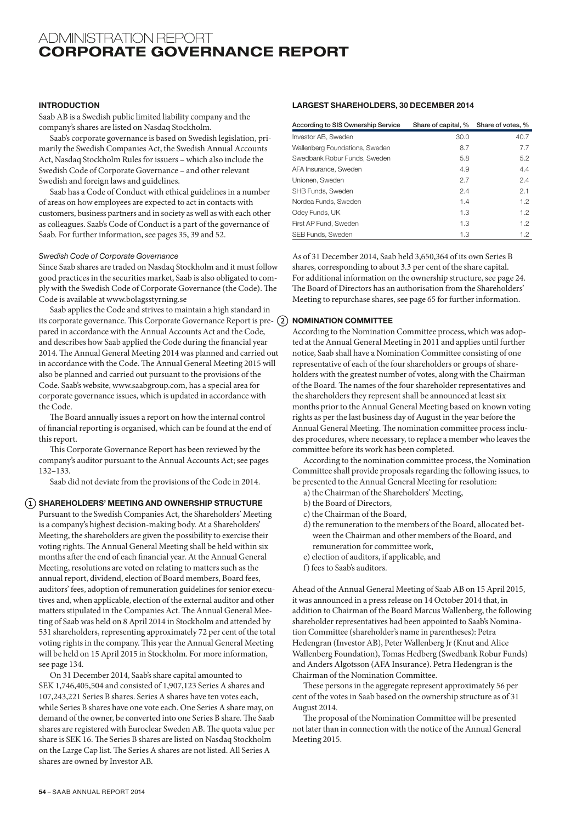# ADMINISTRATION REPORT CORPORATE GOVERNANCE REPORT

# INTRODUCTION

Saab AB is a Swedish public limited liability company and the company's shares are listed on Nasdaq Stockholm.

Saab's corporate governance is based on Swedish legislation, primarily the Swedish Companies Act, the Swedish Annual Accounts Act, Nasdaq Stockholm Rules for issuers – which also include the Swedish Code of Corporate Governance – and other relevant Swedish and foreign laws and guidelines.

Saab has a Code of Conduct with ethical guidelines in a number of areas on how employees are expected to act in contacts with customers, business partners and in society as well as with each other as colleagues. Saab's Code of Conduct is a part of the governance of Saab. For further information, see pages 35, 39 and 52.

## *Swedish Code of Corporate Governance*

Since Saab shares are traded on Nasdaq Stockholm and it must follow good practices in the securities market, Saab is also obligated to comply with the Swedish Code of Corporate Governance (the Code). The Code is available at www.bolagsstyrning.se

Saab applies the Code and strives to maintain a high standard in its corporate governance. This Corporate Governance Report is pre- (2) **NOMINATION COMMITTEE** pared in accordance with the Annual Accounts Act and the Code, and describes how Saab applied the Code during the financial year 2014. The Annual General Meeting 2014 was planned and carried out in accordance with the Code. The Annual General Meeting 2015 will also be planned and carried out pursuant to the provisions of the Code. Saab's website, www.saabgroup.com, has a special area for corporate governance issues, which is updated in accordance with the Code.

The Board annually issues a report on how the internal control of financial reporting is organised, which can be found at the end of this report.

This Corporate Governance Report has been reviewed by the company's auditor pursuant to the Annual Accounts Act; see pages 132–133.

Saab did not deviate from the provisions of the Code in 2014.

## $(1)$  SHAREHOLDERS' MEETING AND OWNERSHIP STRUCTURE

Pursuant to the Swedish Companies Act, the Shareholders' Meeting is a company's highest decision-making body. At a Shareholders' Meeting, the shareholders are given the possibility to exercise their voting rights. The Annual General Meeting shall be held within six months after the end of each financial year. At the Annual General Meeting, resolutions are voted on relating to matters such as the annual report, dividend, election of Board members, Board fees, auditors' fees, adoption of remuneration guidelines for senior executives and, when applicable, election of the external auditor and other matters stipulated in the Companies Act. The Annual General Meeting of Saab was held on 8 April 2014 in Stockholm and attended by 531 shareholders, representing approximately 72 per cent of the total voting rights in the company. This year the Annual General Meeting will be held on 15 April 2015 in Stockholm. For more information, see page 134.

On 31 December 2014, Saab's share capital amounted to SEK 1,746,405,504 and consisted of 1,907,123 Series A shares and 107,243,221 Series B shares. Series A shares have ten votes each, while Series B shares have one vote each. One Series A share may, on demand of the owner, be converted into one Series B share. The Saab shares are registered with Euroclear Sweden AB. The quota value per share is SEK 16. The Series B shares are listed on Nasdaq Stockholm on the Large Cap list. The Series A shares are not listed. All Series A shares are owned by Investor AB.

# LARGEST SHAREHOLDERS, 30 DECEMBER 2014

| According to SIS Ownership Service | Share of capital, % Share of votes, % |      |
|------------------------------------|---------------------------------------|------|
| Investor AB, Sweden                | 30.0                                  | 40.7 |
| Wallenberg Foundations, Sweden     | 8.7                                   | 7.7  |
| Swedbank Robur Funds, Sweden       | 5.8                                   | 5.2  |
| AFA Insurance, Sweden              | 4.9                                   | 4.4  |
| Unionen, Sweden                    | 2.7                                   | 2.4  |
| SHB Funds, Sweden                  | 2.4                                   | 2.1  |
| Nordea Funds, Sweden               | 1.4                                   | 1.2  |
| Odey Funds, UK                     | 1.3                                   | 1.2  |
| First AP Fund, Sweden              | 1.3                                   | 1.2  |
| SEB Funds, Sweden                  | 1.3                                   | 1.2  |

As of 31 December 2014, Saab held 3,650,364 of its own Series B shares, corresponding to about 3.3 per cent of the share capital. For additional information on the ownership structure, see page 24. The Board of Directors has an authorisation from the Shareholders' Meeting to repurchase shares, see page 65 for further information.

According to the Nomination Committee process, which was adopted at the Annual General Meeting in 2011 and applies until further notice, Saab shall have a Nomination Committee consisting of one representative of each of the four shareholders or groups of shareholders with the greatest number of votes, along with the Chairman of the Board. The names of the four shareholder representatives and the shareholders they represent shall be announced at least six months prior to the Annual General Meeting based on known voting rights as per the last business day of August in the year before the Annual General Meeting. The nomination committee process includes procedures, where necessary, to replace a member who leaves the committee before its work has been completed.

According to the nomination committee process, the Nomination Committee shall provide proposals regarding the following issues, to be presented to the Annual General Meeting for resolution:

- a) the Chairman of the Shareholders' Meeting,
- b) the Board of Directors,
- c) the Chairman of the Board,
- d) the remuneration to the members of the Board, allocated between the Chairman and other members of the Board, and remuneration for committee work,
- e) election of auditors, if applicable, and
- f) fees to Saab's auditors.

Ahead of the Annual General Meeting of Saab AB on 15 April 2015, it was announced in a press release on 14 October 2014 that, in addition to Chairman of the Board Marcus Wallenberg, the following shareholder representatives had been appointed to Saab's Nomination Committee (shareholder's name in parentheses): Petra Hedengran (Investor AB), Peter Wallenberg Jr (Knut and Alice Wallenberg Foundation), Tomas Hedberg (Swedbank Robur Funds) and Anders Algotsson (AFA Insurance). Petra Hedengran is the Chairman of the Nomination Committee.

These persons in the aggregate represent approximately 56 per cent of the votes in Saab based on the ownership structure as of 31 August 2014.

The proposal of the Nomination Committee will be presented not later than in connection with the notice of the Annual General Meeting 2015.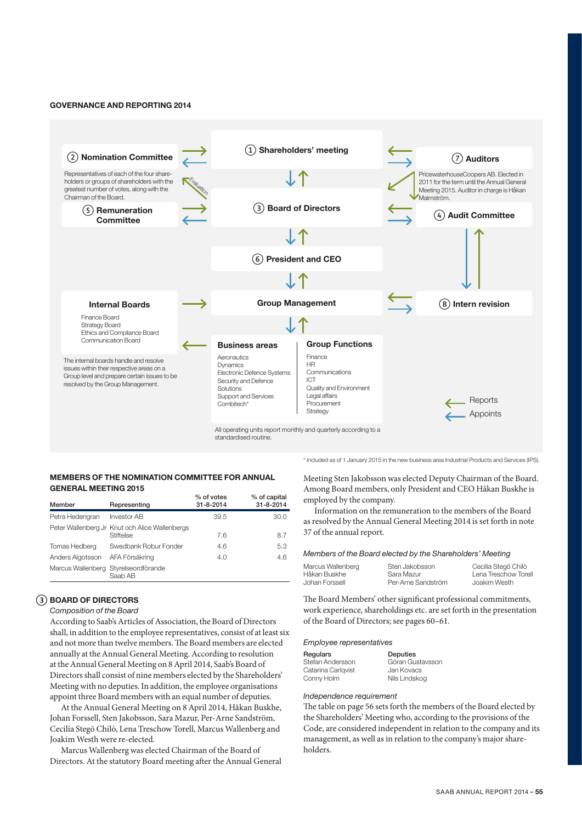## GOVERNANCE AND REPORTING 2014



\* Included as of 1 January 2015 in the new business area Industrial Products and Services (IPS).

# MEMBERS OF THE NOMINATION COMMITTEE FOR ANNUAL GENERAL MEETING 2015

| Member           | Representing                                                | % of votes<br>31-8-2014 | % of capital<br>31-8-2014 |
|------------------|-------------------------------------------------------------|-------------------------|---------------------------|
| Petra Hedengran  | <b>Investor AB</b>                                          | 39.5                    | 30.0                      |
|                  | Peter Wallenberg Jr Knut och Alice Wallenbergs<br>Stiftelse | 7.6                     | 8.7                       |
| Tomas Hedberg    | Swedbank Robur Fonder                                       | 4.6                     | 5.3                       |
| Anders Algotsson | AFA Försäkring                                              | 4.0                     | 4.6                       |
|                  | Marcus Wallenberg Styrelseordförande<br>Saab AB             |                         |                           |

# BOARD OF DIRECTORS

#### *Composition of the Board*

According to Saab's Articles of Association, the Board of Directors shall, in addition to the employee representatives, consist of at least six and not more than twelve members. The Board members are elected annually at the Annual General Meeting. According to resolution at the Annual General Meeting on 8 April 2014, Saab's Board of Directors shall consist of nine members elected by the Shareholders' Meeting with no deputies. In addition, the employee organisations appoint three Board members with an equal number of deputies.

At the Annual General Meeting on 8 April 2014, Håkan Buskhe, Johan Forssell, Sten Jakobsson, Sara Mazur, Per-Arne Sandström, Cecilia Stegö Chilò, Lena Treschow Torell, Marcus Wallenberg and Joakim Westh were re-elected.

Marcus Wallenberg was elected Chairman of the Board of Directors. At the statutory Board meeting after the Annual General Meeting Sten Jakobsson was elected Deputy Chairman of the Board. Among Board members, only President and CEO Håkan Buskhe is employed by the company.

Information on the remuneration to the members of the Board as resolved by the Annual General Meeting 2014 is set forth in note 37 of the annual report.

# *Members of the Board elected by the Shareholders' Meeting*

| Marcus Wallenberg | Sten Jakobsson     | Cecilia Stegö Chilò  |
|-------------------|--------------------|----------------------|
| Håkan Buskhe      | Sara Mazur         | Lena Treschow Torell |
| Johan Forssell    | Per-Arne Sandström | Joakim Westh         |

The Board Members' other significant professional commitments, work experience, shareholdings etc. are set forth in the presentation of the Board of Directors; see pages 60–61.

#### *Employee representatives*

| Regulars           | Deputies         |
|--------------------|------------------|
| Stefan Andersson   | Göran Gustavsson |
| Catarina Carlgvist | Jan Kovacs       |
| Conny Holm         | Nils Lindskog    |

#### *Independence requirement*

The table on page 56 sets forth the members of the Board elected by the Shareholders' Meeting who, according to the provisions of the Code, are considered independent in relation to the company and its management, as well as in relation to the company's major shareholders.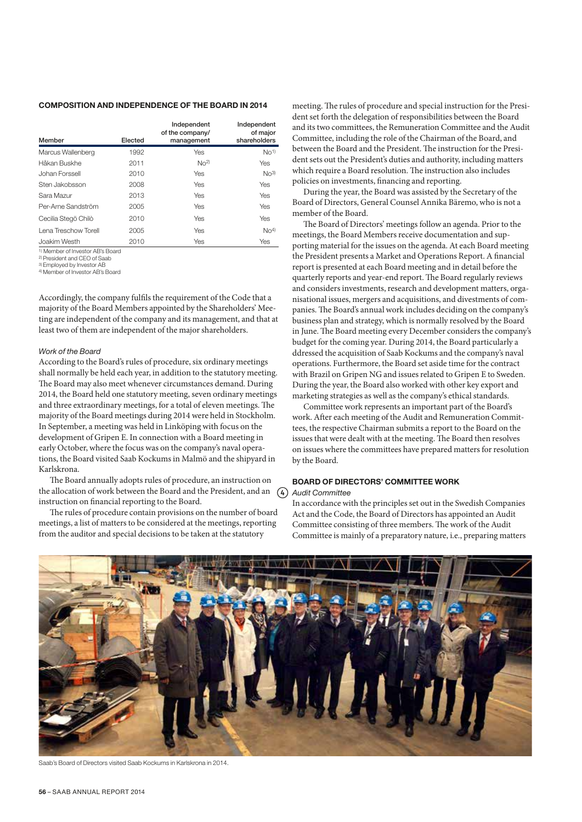# COMPOSITION AND INDEPENDENCE OF THE BOARD IN 2014

| Member               | Elected | Independent<br>of the company/<br>management | Independent<br>of major<br>shareholders |
|----------------------|---------|----------------------------------------------|-----------------------------------------|
| Marcus Wallenberg    | 1992    | Yes                                          | No <sup>1</sup>                         |
| Håkan Buskhe         | 2011    | No <sup>2</sup>                              | Yes                                     |
| Johan Forssell       | 2010    | Yes                                          | $NO$ <sub>3</sub> $)$                   |
| Sten Jakobsson       | 2008    | Yes                                          | Yes                                     |
| Sara Mazur           | 2013    | Yes                                          | Yes                                     |
| Per-Arne Sandström   | 2005    | Yes                                          | Yes                                     |
| Cecilia Stegö Chilò  | 2010    | Yes                                          | Yes                                     |
| Lena Treschow Torell | 2005    | Yes                                          | N <sup>4</sup>                          |
| Joakim Westh         | 2010    | Yes                                          | Yes                                     |

1) Member of Investor AB's Board

2) President and CEO of Saab

<sup>3)</sup> Employed by Investor AB<br><sup>4)</sup> Member of Investor AB's Board

Accordingly, the company fulfils the requirement of the Code that a majority of the Board Members appointed by the Shareholders' Meeting are independent of the company and its management, and that at least two of them are independent of the major shareholders.

#### *Work of the Board*

According to the Board's rules of procedure, six ordinary meetings shall normally be held each year, in addition to the statutory meeting. The Board may also meet whenever circumstances demand. During 2014, the Board held one statutory meeting, seven ordinary meetings and three extraordinary meetings, for a total of eleven meetings. The majority of the Board meetings during 2014 were held in Stockholm. In September, a meeting was held in Linköping with focus on the development of Gripen E. In connection with a Board meeting in early October, where the focus was on the company's naval operations, the Board visited Saab Kockums in Malmö and the shipyard in Karlskrona.

The Board annually adopts rules of procedure, an instruction on the allocation of work between the Board and the President, and an  $(4)$ instruction on financial reporting to the Board.

The rules of procedure contain provisions on the number of board meetings, a list of matters to be considered at the meetings, reporting from the auditor and special decisions to be taken at the statutory

meeting. The rules of procedure and special instruction for the President set forth the delegation of responsibilities between the Board and its two committees, the Remuneration Committee and the Audit Committee, including the role of the Chairman of the Board, and between the Board and the President. The instruction for the President sets out the President's duties and authority, including matters which require a Board resolution. The instruction also includes policies on investments, financing and reporting.

During the year, the Board was assisted by the Secretary of the Board of Directors, General Counsel Annika Bäremo, who is not a member of the Board.

The Board of Directors' meetings follow an agenda. Prior to the meetings, the Board Members receive documentation and supporting material for the issues on the agenda. At each Board meeting the President presents a Market and Operations Report. A financial report is presented at each Board meeting and in detail before the quarterly reports and year-end report. The Board regularly reviews and considers investments, research and development matters, organisational issues, mergers and acquisitions, and divestments of companies. The Board's annual work includes deciding on the company's business plan and strategy, which is normally resolved by the Board in June. The Board meeting every December considers the company's budget for the coming year. During 2014, the Board particularly a ddressed the acquisition of Saab Kockums and the company's naval operations. Furthermore, the Board set aside time for the contract with Brazil on Gripen NG and issues related to Gripen E to Sweden. During the year, the Board also worked with other key export and marketing strategies as well as the company's ethical standards.

Committee work represents an important part of the Board's work. After each meeting of the Audit and Remuneration Committees, the respective Chairman submits a report to the Board on the issues that were dealt with at the meeting. The Board then resolves on issues where the committees have prepared matters for resolution by the Board.

#### BOARD OF DIRECTORS' COMMITTEE WORK *Audit Committee*

In accordance with the principles set out in the Swedish Companies Act and the Code, the Board of Directors has appointed an Audit Committee consisting of three members. The work of the Audit Committee is mainly of a preparatory nature, i.e., preparing matters



Saab's Board of Directors visited Saab Kockums in Karlskrona in 2014.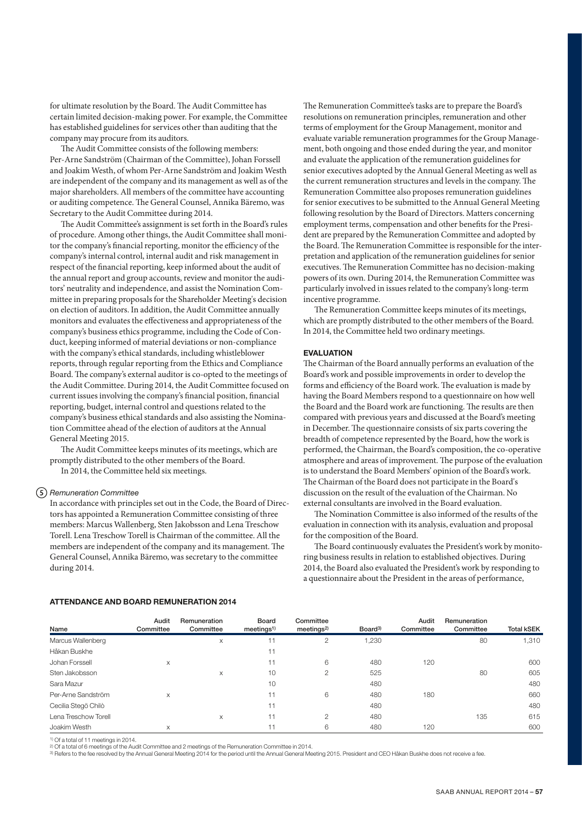for ultimate resolution by the Board. The Audit Committee has certain limited decision-making power. For example, the Committee has established guidelines for services other than auditing that the company may procure from its auditors.

The Audit Committee consists of the following members: Per-Arne Sandström (Chairman of the Committee), Johan Forssell and Joakim Westh, of whom Per-Arne Sandström and Joakim Westh are independent of the company and its management as well as of the major shareholders. All members of the committee have accounting or auditing competence. The General Counsel, Annika Bäremo, was Secretary to the Audit Committee during 2014.

The Audit Committee's assignment is set forth in the Board's rules of procedure. Among other things, the Audit Committee shall monitor the company's financial reporting, monitor the efficiency of the company's internal control, internal audit and risk management in respect of the financial reporting, keep informed about the audit of the annual report and group accounts, review and monitor the auditors' neutrality and independence, and assist the Nomination Committee in preparing proposals for the Shareholder Meeting's decision on election of auditors. In addition, the Audit Committee annually monitors and evaluates the effectiveness and appropriateness of the company's business ethics programme, including the Code of Conduct, keeping informed of material deviations or non-compliance with the company's ethical standards, including whistleblower reports, through regular reporting from the Ethics and Compliance Board. The company's external auditor is co-opted to the meetings of the Audit Committee. During 2014, the Audit Committee focused on current issues involving the company's financial position, financial reporting, budget, internal control and questions related to the company's business ethical standards and also assisting the Nomination Committee ahead of the election of auditors at the Annual General Meeting 2015.

The Audit Committee keeps minutes of its meetings, which are promptly distributed to the other members of the Board. In 2014, the Committee held six meetings.

## *Remuneration Committee*

In accordance with principles set out in the Code, the Board of Directors has appointed a Remuneration Committee consisting of three members: Marcus Wallenberg, Sten Jakobsson and Lena Treschow Torell. Lena Treschow Torell is Chairman of the committee. All the members are independent of the company and its management. The General Counsel, Annika Bäremo, was secretary to the committee during 2014.

The Remuneration Committee's tasks are to prepare the Board's resolutions on remuneration principles, remuneration and other terms of employment for the Group Management, monitor and evaluate variable remuneration programmes for the Group Management, both ongoing and those ended during the year, and monitor and evaluate the application of the remuneration guidelines for senior executives adopted by the Annual General Meeting as well as the current remuneration structures and levels in the company. The Remuneration Committee also proposes remuneration guidelines for senior executives to be submitted to the Annual General Meeting following resolution by the Board of Directors. Matters concerning employment terms, compensation and other benefits for the President are prepared by the Remuneration Committee and adopted by the Board. The Remuneration Committee is responsible for the interpretation and application of the remuneration guidelines for senior executives. The Remuneration Committee has no decision-making powers of its own. During 2014, the Remuneration Committee was particularly involved in issues related to the company's long-term incentive programme.

The Remuneration Committee keeps minutes of its meetings, which are promptly distributed to the other members of the Board. In 2014, the Committee held two ordinary meetings.

#### EVALUATION

The Chairman of the Board annually performs an evaluation of the Board's work and possible improvements in order to develop the forms and efficiency of the Board work. The evaluation is made by having the Board Members respond to a questionnaire on how well the Board and the Board work are functioning. The results are then compared with previous years and discussed at the Board's meeting in December. The questionnaire consists of six parts covering the breadth of competence represented by the Board, how the work is performed, the Chairman, the Board's composition, the co-operative atmosphere and areas of improvement. The purpose of the evaluation is to understand the Board Members' opinion of the Board's work. The Chairman of the Board does not participate in the Board's discussion on the result of the evaluation of the Chairman. No external consultants are involved in the Board evaluation.

The Nomination Committee is also informed of the results of the evaluation in connection with its analysis, evaluation and proposal for the composition of the Board.

The Board continuously evaluates the President's work by monitoring business results in relation to established objectives. During 2014, the Board also evaluated the President's work by responding to a questionnaire about the President in the areas of performance,

#### ATTENDANCE AND BOARD REMUNERATION 2014

| Name                 | Audit<br>Committee | Remuneration<br>Committee | Board<br>meetings <sup>1</sup> | Committee<br>meetings <sup>2</sup> | Board <sup>3)</sup> | Audit<br>Committee | Remuneration<br>Committee | <b>Total kSEK</b> |
|----------------------|--------------------|---------------------------|--------------------------------|------------------------------------|---------------------|--------------------|---------------------------|-------------------|
| Marcus Wallenberg    |                    | X                         |                                | 2                                  | 1,230               |                    | 80                        | 1,310             |
| Håkan Buskhe         |                    |                           | 11                             |                                    |                     |                    |                           |                   |
| Johan Forssell       | X                  |                           |                                | 6                                  | 480                 | 120                |                           | 600               |
| Sten Jakobsson       |                    | X                         | 10                             | 2                                  | 525                 |                    | 80                        | 605               |
| Sara Mazur           |                    |                           | 10                             |                                    | 480                 |                    |                           | 480               |
| Per-Arne Sandström   | X                  |                           | 11                             | 6                                  | 480                 | 180                |                           | 660               |
| Cecilia Stegö Chilò  |                    |                           | 11                             |                                    | 480                 |                    |                           | 480               |
| Lena Treschow Torell |                    | X                         | 11                             | $\mathfrak{p}$                     | 480                 |                    | 135                       | 615               |
| Joakim Westh         | X                  |                           |                                | 6                                  | 480                 | 120                |                           | 600               |

1) Of a total of 11 meetings in 2014.

<sup>2)</sup> Of a total of 6 meetings of the Audit Committee and 2 meetings of the Remuneration Committee in 2014.<br><sup>3)</sup> Refers to the fee resolved by the Annual General Meeting 2014 for the period until the Annual General Meeting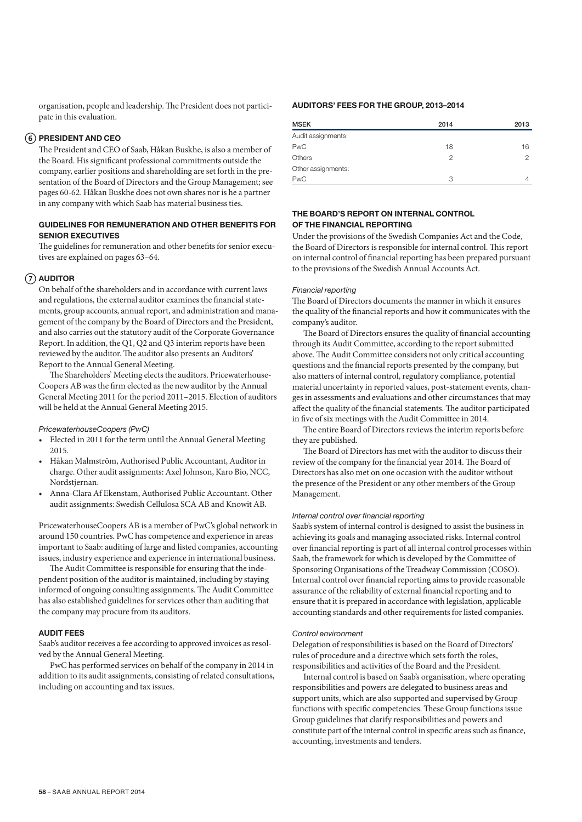organisation, people and leadership. The President does not participate in this evaluation.

# PRESIDENT AND CEO

The President and CEO of Saab, Håkan Buskhe, is also a member of the Board. His significant professional commitments outside the company, earlier positions and shareholding are set forth in the presentation of the Board of Directors and the Group Management; see pages 60-62. Håkan Buskhe does not own shares nor is he a partner in any company with which Saab has material business ties.

# GUIDELINES FOR REMUNERATION AND OTHER BENEFITS FOR SENIOR EXECUTIVES

The guidelines for remuneration and other benefits for senior executives are explained on pages 63–64.

# $(7)$  auditor

On behalf of the shareholders and in accordance with current laws and regulations, the external auditor examines the financial statements, group accounts, annual report, and administration and management of the company by the Board of Directors and the President, and also carries out the statutory audit of the Corporate Governance Report. In addition, the Q1, Q2 and Q3 interim reports have been reviewed by the auditor. The auditor also presents an Auditors' Report to the Annual General Meeting.

The Shareholders' Meeting elects the auditors. Pricewaterhouse-Coopers AB was the firm elected as the new auditor by the Annual General Meeting 2011 for the period 2011–2015. Election of auditors will be held at the Annual General Meeting 2015.

## *PricewaterhouseCoopers (PwC)*

- Elected in 2011 for the term until the Annual General Meeting 2015.
- Håkan Malmström, Authorised Public Accountant, Auditor in charge. Other audit assignments: Axel Johnson, Karo Bio, NCC, Nordstiernan.
- Anna-Clara Af Ekenstam, Authorised Public Accountant. Other audit assignments: Swedish Cellulosa SCA AB and Knowit AB.

PricewaterhouseCoopers AB is a member of PwC's global network in around 150 countries. PwC has competence and experience in areas important to Saab: auditing of large and listed companies, accounting issues, industry experience and experience in international business.

The Audit Committee is responsible for ensuring that the independent position of the auditor is maintained, including by staying informed of ongoing consulting assignments. The Audit Committee has also established guidelines for services other than auditing that the company may procure from its auditors.

# AUDIT FEES

Saab's auditor receives a fee according to approved invoices as resolved by the Annual General Meeting.

PwC has performed services on behalf of the company in 2014 in addition to its audit assignments, consisting of related consultations, including on accounting and tax issues.

# AUDITORS' FEES FOR THE GROUP, 2013–2014

| <b>MSEK</b>        | 2014 | 2013 |
|--------------------|------|------|
| Audit assignments: |      |      |
| <b>PwC</b>         | 18   | 16   |
| Others             | 2    | っ    |
| Other assignments: |      |      |
| <b>PwC</b>         | 3    |      |

# THE BOARD'S REPORT ON INTERNAL CONTROL OF THE FINANCIAL REPORTING

Under the provisions of the Swedish Companies Act and the Code, the Board of Directors is responsible for internal control. This report on internal control of financial reporting has been prepared pursuant to the provisions of the Swedish Annual Accounts Act.

#### *Financial reporting*

The Board of Directors documents the manner in which it ensures the quality of the financial reports and how it communicates with the company's auditor.

The Board of Directors ensures the quality of financial accounting through its Audit Committee, according to the report submitted above. The Audit Committee considers not only critical accounting questions and the financial reports presented by the company, but also matters of internal control, regulatory compliance, potential material uncertainty in reported values, post-statement events, changes in assessments and evaluations and other circumstances that may affect the quality of the financial statements. The auditor participated in five of six meetings with the Audit Committee in 2014.

The entire Board of Directors reviews the interim reports before they are published.

The Board of Directors has met with the auditor to discuss their review of the company for the financial year 2014. The Board of Directors has also met on one occasion with the auditor without the presence of the President or any other members of the Group Management.

## *Internal control over financial reporting*

Saab's system of internal control is designed to assist the business in achieving its goals and managing associated risks. Internal control over financial reporting is part of all internal control processes within Saab, the framework for which is developed by the Committee of Sponsoring Organisations of the Treadway Commission (COSO). Internal control over financial reporting aims to provide reasonable assurance of the reliability of external financial reporting and to ensure that it is prepared in accordance with legislation, applicable accounting standards and other requirements for listed companies.

## *Control environment*

Delegation of responsibilities is based on the Board of Directors' rules of procedure and a directive which sets forth the roles, responsibilities and activities of the Board and the President.

Internal control is based on Saab's organisation, where operating responsibilities and powers are delegated to business areas and support units, which are also supported and supervised by Group functions with specific competencies. These Group functions issue Group guidelines that clarify responsibilities and powers and constitute part of the internal control in specific areas such as finance, accounting, investments and tenders.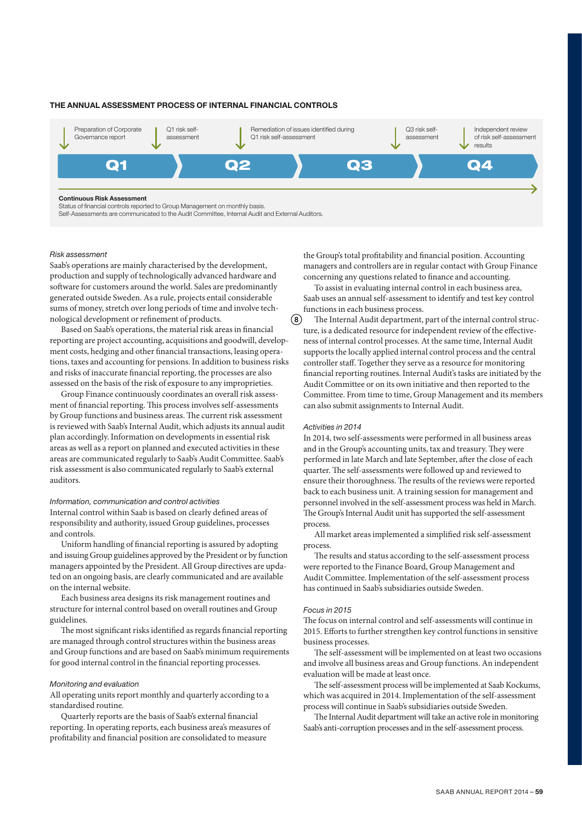#### THE ANNUAL ASSESSMENT PROCESS OF INTERNAL FINANCIAL CONTROLS



(8)

## *Risk assessment*

Saab's operations are mainly characterised by the development, production and supply of technologically advanced hardware and software for customers around the world. Sales are predominantly generated outside Sweden. As a rule, projects entail considerable sums of money, stretch over long periods of time and involve technological development or refinement of products.

Based on Saab's operations, the material risk areas in financial reporting are project accounting, acquisitions and goodwill, development costs, hedging and other financial transactions, leasing operations, taxes and accounting for pensions. In addition to business risks and risks of inaccurate financial reporting, the processes are also assessed on the basis of the risk of exposure to any improprieties.

Group Finance continuously coordinates an overall risk assessment of financial reporting. This process involves self-assessments by Group functions and business areas. The current risk assessment is reviewed with Saab's Internal Audit, which adjusts its annual audit plan accordingly. Information on developments in essential risk areas as well as a report on planned and executed activities in these areas are communicated regularly to Saab's Audit Committee. Saab's risk assessment is also communicated regularly to Saab's external auditors.

# *Information, communication and control activities*

Internal control within Saab is based on clearly defined areas of responsibility and authority, issued Group guidelines, processes and controls.

Uniform handling of financial reporting is assured by adopting and issuing Group guidelines approved by the President or by function managers appointed by the President. All Group directives are updated on an ongoing basis, are clearly communicated and are available on the internal website.

Each business area designs its risk management routines and structure for internal control based on overall routines and Group guidelines.

The most significant risks identified as regards financial reporting are managed through control structures within the business areas and Group functions and are based on Saab's minimum requirements for good internal control in the financial reporting processes.

#### *Monitoring and evaluation*

All operating units report monthly and quarterly according to a standardised routine.

Quarterly reports are the basis of Saab's external financial reporting. In operating reports, each business area's measures of profitability and financial position are consolidated to measure

the Group's total profitability and financial position. Accounting managers and controllers are in regular contact with Group Finance concerning any questions related to finance and accounting.

To assist in evaluating internal control in each business area, Saab uses an annual self-assessment to identify and test key control functions in each business process.

The Internal Audit department, part of the internal control structure, is a dedicated resource for independent review of the effectiveness of internal control processes. At the same time, Internal Audit supports the locally applied internal control process and the central controller staff. Together they serve as a resource for monitoring financial reporting routines. Internal Audit's tasks are initiated by the Audit Committee or on its own initiative and then reported to the Committee. From time to time, Group Management and its members can also submit assignments to Internal Audit.

#### *Activities in 2014*

In 2014, two self-assessments were performed in all business areas and in the Group's accounting units, tax and treasury. They were performed in late March and late September, after the close of each quarter. The self-assessments were followed up and reviewed to ensure their thoroughness. The results of the reviews were reported back to each business unit. A training session for management and personnel involved in the self-assessment process was held in March. The Group's Internal Audit unit has supported the self-assessment process.

All market areas implemented a simplified risk self-assessment process.

The results and status according to the self-assessment process were reported to the Finance Board, Group Management and Audit Committee. Implementation of the self-assessment process has continued in Saab's subsidiaries outside Sweden.

#### *Focus in 2015*

The focus on internal control and self-assessments will continue in 2015. Efforts to further strengthen key control functions in sensitive business processes.

The self-assessment will be implemented on at least two occasions and involve all business areas and Group functions. An independent evaluation will be made at least once.

The self-assessment process will be implemented at Saab Kockums, which was acquired in 2014. Implementation of the self-assessment process will continue in Saab's subsidiaries outside Sweden.

The Internal Audit department will take an active role in monitoring Saab's anti-corruption processes and in the self-assessment process.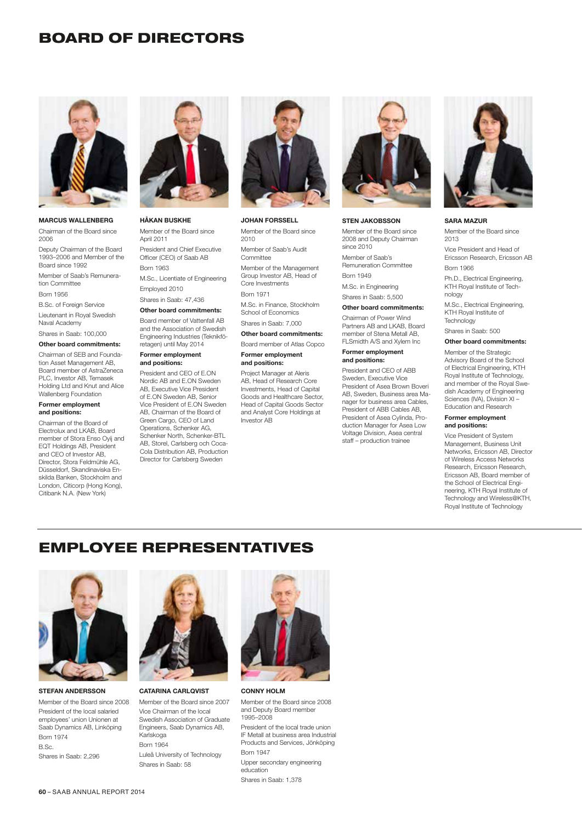# BOARD OF DIRECTORS



#### MARCUS WALLENBERG

Chairman of the Board since 2006 Deputy Chairman of the Board 1993–2006 and Member of the Board since 1992 Member of Saab's Remuneration Committee

Born 1956

B.Sc. of Foreign Service Lieutenant in Royal Swedish Naval Academy

Shares in Saab: 100,000

Other board commitments:

Chairman of SEB and Foundation Asset Management AB, Board member of AstraZeneca PLC, Investor AB, Temasek Holding Ltd and Knut and Alice Wallenberg Foundation

#### Former employment and positions:

Chairman of the Board of Electrolux and LKAB, Board member of Stora Enso Oyij and EQT Holdings AB, President and CEO of Investor AB, Director, Stora Feldmühle AG, Düsseldorf, Skandinaviska Enskilda Banken, Stockholm and London, Citicorp (Hong Kong), Citibank N.A. (New York)



## HÅKAN BUSKHE Member of the Board since April 2011 President and Chief Executive Officer (CEO) of Saab AB Born 1963 M.Sc., Licentiate of Engineering

Employed 2010

#### Shares in Saab: 47,436 Other board commitments:

Board member of Vattenfall AB and the Association of Swedish Engineering Industries (Teknikföretagen) until May 2014

## Former employment and positions:

President and CEO of E.ON Nordic AB and E.ON Sweden AB, Executive Vice President of E.ON Sweden AB, Senior Vice President of E.ON Sweden AB, Chairman of the Board of Green Cargo, CEO of Land Operations, Schenker AG, Schenker North, Schenker-BTL AB, Storel, Carlsberg och Coca-Cola Distribution AB, Production Director for Carlsberg Sweden



#### JOHAN FORSSELL

Member of the Board since 2010 Member of Saab's Audit Committee Member of the Management Group Investor AB, Head of Core Investments Born 1971

M.Sc. in Finance, Stockholm School of Economics

Shares in Saab: 7,000 Other board commitments:

Board member of Atlas Copco Former employment and positions:

# Project Manager at Aleris AB, Head of Research Core

Investments, Head of Capital Goods and Healthcare Sector, Head of Capital Goods Sector and Analyst Core Holdings at Investor AB



#### STEN JAKOBSSON

Member of the Board since 2008 and Deputy Chairman since 2010 Member of Saab's Remuneration Committee

Born 1949

M.Sc. in Engineering Shares in Saab: 5,500

#### Other board commitments:

Chairman of Power Wind Partners AB and LKAB, Board member of Stena Metall AB, FLSmidth A/S and Xylem Inc

#### Former employment and positions:

President and CEO of ABB Sweden, Executive Vice President of Asea Brown Boveri AB, Sweden, Business area Manager for business area Cables, President of ABB Cables AB, President of Asea Cylinda, Production Manager for Asea Low Voltage Division, Asea central staff – production trainee



#### SARA MAZUR

Member of the Board since 2013

Vice President and Head of Ericsson Research, Ericsson AB Born 1966

Ph.D., Electrical Engineering, KTH Royal Institute of Technology

M.Sc., Electrical Engineering, KTH Royal Institute of **Technology** 

Shares in Saab: 500

# Other board commitments:

Member of the Strategic Advisory Board of the School of Electrical Engineering, KTH Royal Institute of Technology, and member of the Royal Swedish Academy of Engineering Sciences (IVA), Division XI – Education and Research

#### Former employment and positions:

Vice President of System Management, Business Unit Networks, Ericsson AB, Director of Wireless Access Networks Research, Ericsson Research, Ericsson AB, Board member of the School of Electrical Engineering, KTH Royal Institute of Technology and Wireless@KTH, Royal Institute of Technology

# EMPLOYEE REPRESENTATIVES



STEFAN ANDERSSON

Member of the Board since 2008 President of the local salaried employees' union Unionen at Saab Dynamics AB, Linköping Born 1974  $D$ .  $C<sub>n</sub>$ 

Shares in Saab: 2,296



CATARINA CARLQVIST

Member of the Board since 2007 Vice Chairman of the local Swedish Association of Graduate Engineers, Saab Dynamics AB, Karlskoga Born 1964 Luleå University of Technology Shares in Saab: 58



CONNY HOLM

Member of the Board since 2008 and Deputy Board member 1995–2008

President of the local trade union IF Metall at business area Industrial Products and Services, Jönköping Born 1947

Upper secondary engineering education Shares in Saab: 1,378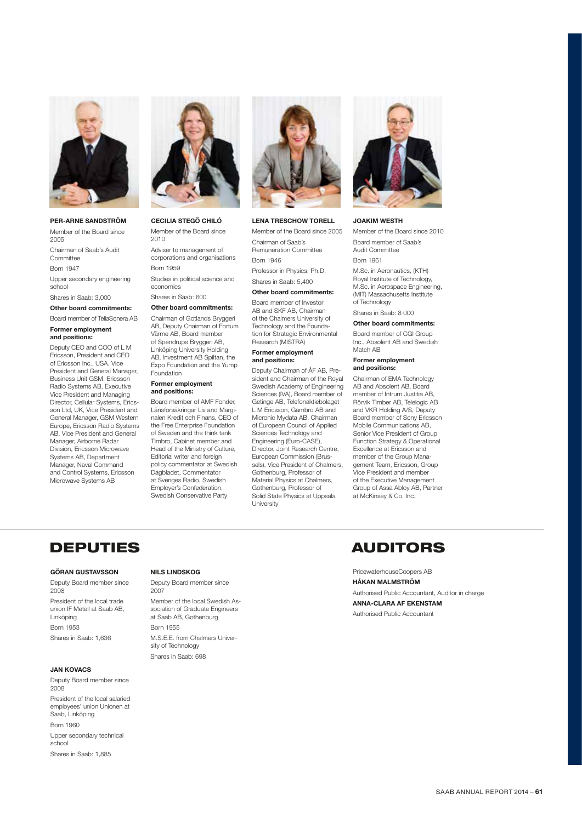

#### PER-ARNE SANDSTRÖM

Member of the Board since 2005 Chairman of Saab's Audit Committee Born 1947 Upper secondary engineering school

Shares in Saab: 3,000

#### Other board commitments:

Board member of TeliaSonera AB Former employment and positions:

Deputy CEO and COO of L M Ericsson, President and CEO of Ericsson Inc., USA, Vice President and General Manager, Business Unit GSM, Ericsson Radio Systems AB, Executive Vice President and Managing Director, Cellular Systems, Ericsson Ltd, UK, Vice President and General Manager, GSM Western Europe, Ericsson Radio Systems AB, Vice President and General Manager, Airborne Radar Division, Ericsson Microwave Systems AB, Department Manager, Naval Command and Control Systems, Ericsson Microwave Systems AB



# CECILIA STEGÖ CHILÓ

Member of the Board since 2010 Adviser to management of corporations and organisations Born 1959

Shares in Saab: 600 Other board commitments: Chairman of Gotlands Bryggeri AB, Deputy Chairman of Fortum Värme AB, Board member of Spendrups Bryggeri AB, Linköping University Holding AB, Investment AB Spiltan, the Expo Foundation and the Yump

Foundation Former employment and positions:

Studies in political science and economics

Board member of AMF Fonder, Länsforsäkringar Liv and Marginalen Kredit och Finans, CEO of the Free Enterprise Foundation of Sweden and the think tank Timbro, Cabinet member and Head of the Ministry of Culture, Editorial writer and foreign policy commentator at Swedish Dagbladet, Commentator at Sveriges Radio, Swedish Employer's Confederation, Swedish Conservative Party

## Board member of Investor

AB and SKE AB, Chairman of the Chalmers University of Technology and the Foundation for Strategic Environmental Research (MISTRA)

Professor in Physics, Ph.D. Shares in Saab: 5,400 Other board commitments:

LENA TRESCHOW TORELL Member of the Board since 2005

Chairman of Saab's Remuneration Committee

Born 1946

#### Former employment and positions:

Deputy Chairman of ÅF AB, President and Chairman of the Royal Swedish Academy of Engineering Sciences (IVA), Board member of Getinge AB, Telefonaktiebolaget L M Ericsson, Gambro AB and Micronic Mydata AB, Chairman of European Council of Applied Sciences Technology and Engineering (Euro-CASE), Director, Joint Research Centre, European Commission (Brussels), Vice President of Chalmers, Gothenburg, Professor of Material Physics at Chalmers. Gothenburg, Professor of Solid State Physics at Uppsala **University** 



#### JOAKIM WESTH

Member of the Board since 2010 Board member of Saab's Audit Committee Born 1961

M.Sc. in Aeronautics, (KTH) Royal Institute of Technology, M.Sc. in Aerospace Engineering, (MIT) Massachusetts Institute of Technology

Shares in Saab: 8 000

Other board commitments: Board member of CGI Group Inc., Absolent AB and Swedish Match AB

#### Former employment and positions:

Chairman of EMA Technology AB and Absolent AB, Board member of Intrum Justitia AB, Rörvik Timber AB, Telelogic AB and VKR Holding A/S, Deputy Board member of Sony Ericsson Mobile Communications AB, Senior Vice President of Group Function Strategy & Operational Excellence at Ericsson and member of the Group Management Team, Ericsson, Group Vice President and member of the Executive Management Group of Assa Abloy AB, Partner at McKinsey & Co. Inc.

# DEPUTIES AUDITORS

#### GÖRAN GUSTAVSSON

Deputy Board member since 2008 President of the local trade union IF Metall at Saab AB, Linköping Born 1953 Shares in Saab: 1,636

#### JAN KOVACS

Deputy Board member since 2008 President of the local salaried employees' union Unionen at Saab, Linköping Born 1960

Upper secondary technical school Shares in Saab: 1,885

#### NILS LINDSKOG

Shares in Saab: 698

Deputy Board member since 2007

Member of the local Swedish Association of Graduate Engineers at Saab AB, Gothenburg Born 1955 M.S.E.E. from Chalmers University of Technology

PricewaterhouseCoopers AB

#### HÅKAN MALMSTRÖM

Authorised Public Accountant, Auditor in charge

ANNA-CLARA AF EKENSTAM Authorised Public Accountant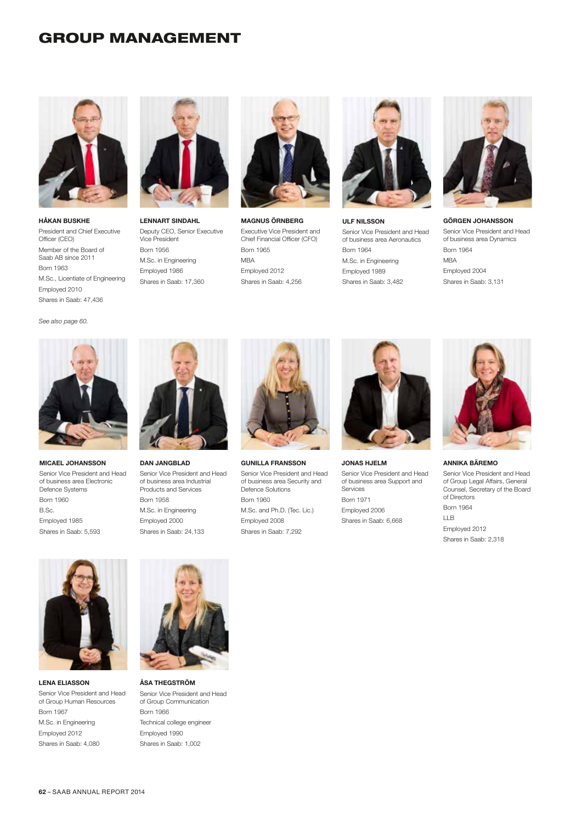# GROUP MANAGEMENT



HÅKAN BUSKHE President and Chief Executive Officer (CEO) Member of the Board of Saab AB since 2011 Born 1963 M.Sc., Licentiate of Engineering Employed 2010 Shares in Saab: 47,436



LENNART SINDAHL Deputy CEO, Senior Executive Vice President Born 1956 M.Sc. in Engineering Employed 1986 Shares in Saab: 17,360



MAGNUS ÖRNBERG Executive Vice President and Chief Financial Officer (CFO) Born 1965 MBA Employed 2012 Shares in Saab: 4,256



ULF NILSSON Senior Vice President and Head of business area Aeronautics Born 1964 M.Sc. in Engineering Employed 1989 Shares in Saab: 3,482



GÖRGEN JOHANSSON Senior Vice President and Head of business area Dynamics Born 1964 MBA Employed 2004 Shares in Saab: 3,131

*See also page 60.*



MICAEL JOHANSSON Senior Vice President and Head of business area Electronic Defence Systems Born 1960 B.Sc. Employed 1985 Shares in Saab: 5,593



DAN JANGBLAD Senior Vice President and Head of business area Industrial Products and Services Born 1958 M.Sc. in Engineering Employed 2000 Shares in Saab: 24,133



GUNILLA FRANSSON Senior Vice President and Head of business area Security and Defence Solutions Born 1960 M.Sc. and Ph.D. (Tec. Lic.) Employed 2008 Shares in Saab: 7,292



JONAS HJELM

Senior Vice President and Head of business area Support and Services Born 1971 Employed 2006 Shares in Saab: 6,668



ANNIKA BÄREMO

Senior Vice President and Head of Group Legal Affairs, General Counsel, Secretary of the Board of Directors Born 1964 LLB Employed 2012 Shares in Saab: 2,318



LENA ELIASSON Senior Vice President and Head of Group Human Resources Born 1967 M.Sc. in Engineering Employed 2012 Shares in Saab: 4,080



ÅSA THEGSTRÖM Senior Vice President and Head of Group Communication Born 1966 Technical college engineer Employed 1990 Shares in Saab: 1,002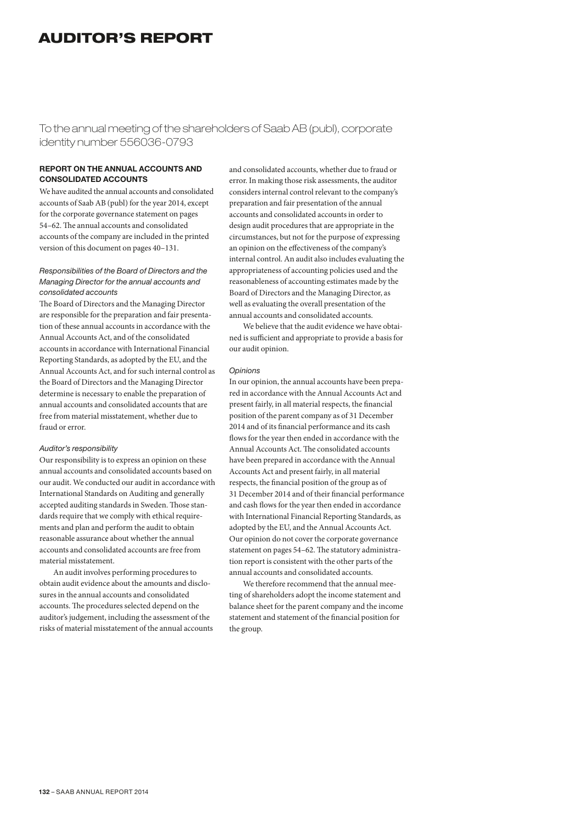# AUDITOR'S REPORT

To the annual meeting of the shareholders of Saab AB (publ), corporate identity number 556036-0793

# REPORT ON THE ANNUAL ACCOUNTS AND CONSOLIDATED ACCOUNTS

We have audited the annual accounts and consolidated accounts of Saab AB (publ) for the year 2014, except for the corporate governance statement on pages 54–62. The annual accounts and consolidated accounts of the company are included in the printed version of this document on pages 40–131.

# *Responsibilities of the Board of Directors and the Managing Director for the annual accounts and consolidated accounts*

The Board of Directors and the Managing Director are responsible for the preparation and fair presentation of these annual accounts in accordance with the Annual Accounts Act, and of the consolidated accounts in accordance with International Financial Reporting Standards, as adopted by the EU, and the Annual Accounts Act, and for such internal control as the Board of Directors and the Managing Director determine is necessary to enable the preparation of annual accounts and consolidated accounts that are free from material misstatement, whether due to fraud or error.

## *Auditor's responsibility*

Our responsibility is to express an opinion on these annual accounts and consolidated accounts based on our audit. We conducted our audit in accordance with International Standards on Auditing and generally accepted auditing standards in Sweden. Those standards require that we comply with ethical requirements and plan and perform the audit to obtain reasonable assurance about whether the annual accounts and consolidated accounts are free from material misstatement.

An audit involves performing procedures to obtain audit evidence about the amounts and disclosures in the annual accounts and consolidated accounts. The procedures selected depend on the auditor's judgement, including the assessment of the risks of material misstatement of the annual accounts and consolidated accounts, whether due to fraud or error. In making those risk assessments, the auditor considers internal control relevant to the company's preparation and fair presentation of the annual accounts and consolidated accounts in order to design audit procedures that are appropriate in the circumstances, but not for the purpose of expressing an opinion on the effectiveness of the company's internal control. An audit also includes evaluating the appropriateness of accounting policies used and the reasonableness of accounting estimates made by the Board of Directors and the Managing Director, as well as evaluating the overall presentation of the annual accounts and consolidated accounts.

We believe that the audit evidence we have obtained is sufficient and appropriate to provide a basis for our audit opinion.

# *Opinions*

In our opinion, the annual accounts have been prepared in accordance with the Annual Accounts Act and present fairly, in all material respects, the financial position of the parent company as of 31 December 2014 and of its financial performance and its cash flows for the year then ended in accordance with the Annual Accounts Act. The consolidated accounts have been prepared in accordance with the Annual Accounts Act and present fairly, in all material respects, the financial position of the group as of 31 December 2014 and of their financial performance and cash flows for the year then ended in accordance with International Financial Reporting Standards, as adopted by the EU, and the Annual Accounts Act. Our opinion do not cover the corporate governance statement on pages 54–62. The statutory administration report is consistent with the other parts of the annual accounts and consolidated accounts.

We therefore recommend that the annual meeting of shareholders adopt the income statement and balance sheet for the parent company and the income statement and statement of the financial position for the group.